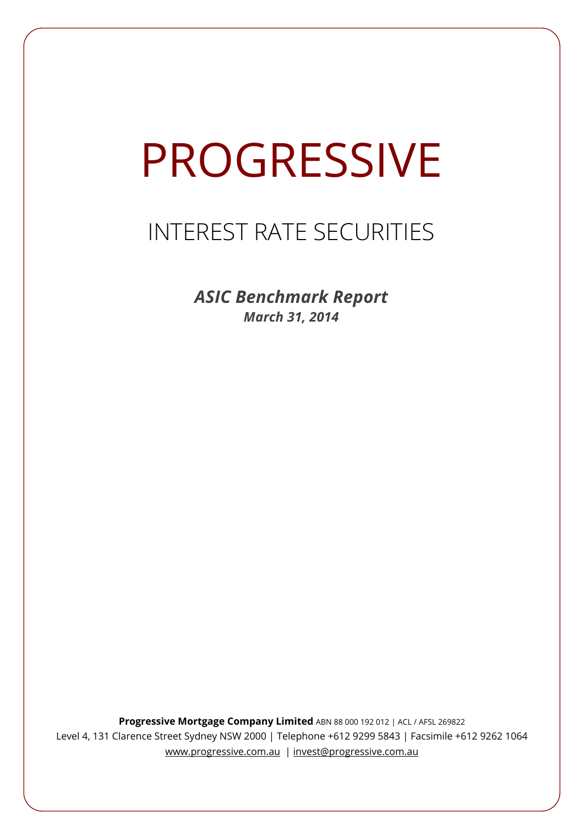# PROGRESSIVE

# INTEREST RATE SECURITIES

*ASIC Benchmark Report March 31, 2014*

**Progressive Mortgage Company Limited** ABN 88 000 192 012 | ACL / AFSL 269822 Level 4, 131 Clarence Street Sydney NSW 2000 | Telephone +612 9299 5843 | Facsimile +612 9262 1064 www.progressive.com.au | invest@progressive.com.au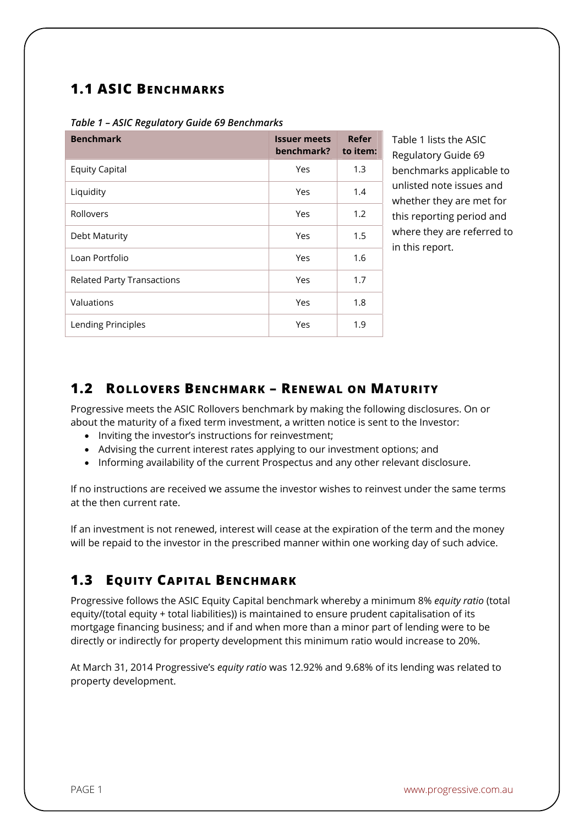### **1.1 ASIC BENCHMARKS**

| <b>Benchmark</b>                  | <b>Issuer meets</b><br>benchmark? | Refer<br>to item: |
|-----------------------------------|-----------------------------------|-------------------|
| <b>Equity Capital</b>             | Yes                               | 1.3               |
| Liquidity                         | Yes                               | 1.4               |
| Rollovers                         | Yes                               | 1.2               |
| Debt Maturity                     | Yes                               | 1.5               |
| Loan Portfolio                    | Yes                               | 1.6               |
| <b>Related Party Transactions</b> | Yes                               | 1.7               |
| Valuations                        | Yes                               | 1.8               |
| Lending Principles                | Yes                               | 1.9               |

#### *Table 1 – ASIC Regulatory Guide 69 Benchmarks*

Table 1 lists the ASIC Regulatory Guide 69 benchmarks applicable to unlisted note issues and whether they are met for this reporting period and where they are referred to in this report.

#### **1.2 ROLLOVERS BENCHMARK – RENEWAL ON MATURITY**

Progressive meets the ASIC Rollovers benchmark by making the following disclosures. On or about the maturity of a fixed term investment, a written notice is sent to the Investor:

- Inviting the investor's instructions for reinvestment:
- Advising the current interest rates applying to our investment options; and
- Informing availability of the current Prospectus and any other relevant disclosure.

If no instructions are received we assume the investor wishes to reinvest under the same terms at the then current rate.

If an investment is not renewed, interest will cease at the expiration of the term and the money will be repaid to the investor in the prescribed manner within one working day of such advice.

## **1.3 EQUITY CAPITAL BENCHMARK**

Progressive follows the ASIC Equity Capital benchmark whereby a minimum 8% *equity ratio* (total equity/(total equity + total liabilities)) is maintained to ensure prudent capitalisation of its mortgage financing business; and if and when more than a minor part of lending were to be directly or indirectly for property development this minimum ratio would increase to 20%.

At March 31, 2014 Progressive's *equity ratio* was 12.92% and 9.68% of its lending was related to property development.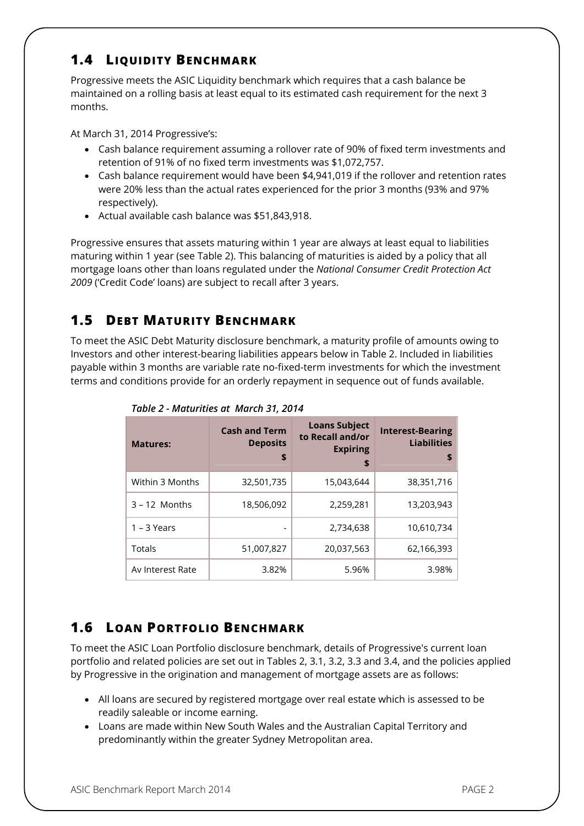#### **1.4 LIQUIDITY BENCHMARK**

Progressive meets the ASIC Liquidity benchmark which requires that a cash balance be maintained on a rolling basis at least equal to its estimated cash requirement for the next 3 months.

At March 31, 2014 Progressive's:

- Cash balance requirement assuming a rollover rate of 90% of fixed term investments and retention of 91% of no fixed term investments was \$1,072,757.
- Cash balance requirement would have been \$4,941,019 if the rollover and retention rates were 20% less than the actual rates experienced for the prior 3 months (93% and 97% respectively).
- Actual available cash balance was \$51,843,918.

Progressive ensures that assets maturing within 1 year are always at least equal to liabilities maturing within 1 year (see Table 2). This balancing of maturities is aided by a policy that all mortgage loans other than loans regulated under the *National Consumer Credit Protection Act 2009* ('Credit Code' loans) are subject to recall after 3 years.

#### **1.5 DEBT MATURITY BENCHMARK**

To meet the ASIC Debt Maturity disclosure benchmark, a maturity profile of amounts owing to Investors and other interest-bearing liabilities appears below in Table 2. Included in liabilities payable within 3 months are variable rate no-fixed-term investments for which the investment terms and conditions provide for an orderly repayment in sequence out of funds available.

| <b>Matures:</b>  | <b>Cash and Term</b><br><b>Deposits</b><br>\$ | <b>Loans Subject</b><br>to Recall and/or<br><b>Expiring</b><br>\$ | <b>Interest-Bearing</b><br><b>Liabilities</b><br>S |
|------------------|-----------------------------------------------|-------------------------------------------------------------------|----------------------------------------------------|
| Within 3 Months  | 32,501,735                                    | 15,043,644                                                        | 38,351,716                                         |
| $3 - 12$ Months  | 18,506,092                                    | 2,259,281                                                         | 13,203,943                                         |
| $1 - 3$ Years    |                                               | 2,734,638                                                         | 10,610,734                                         |
| Totals           | 51,007,827                                    | 20,037,563                                                        | 62,166,393                                         |
| Av Interest Rate | 3.82%                                         | 5.96%                                                             | 3.98%                                              |

*Table 2 - Maturities at March 31, 2014*

#### **1.6 LOAN PORTFOLIO BENCHMARK**

To meet the ASIC Loan Portfolio disclosure benchmark, details of Progressive's current loan portfolio and related policies are set out in Tables 2, 3.1, 3.2, 3.3 and 3.4, and the policies applied by Progressive in the origination and management of mortgage assets are as follows:

- All loans are secured by registered mortgage over real estate which is assessed to be readily saleable or income earning.
- Loans are made within New South Wales and the Australian Capital Territory and predominantly within the greater Sydney Metropolitan area.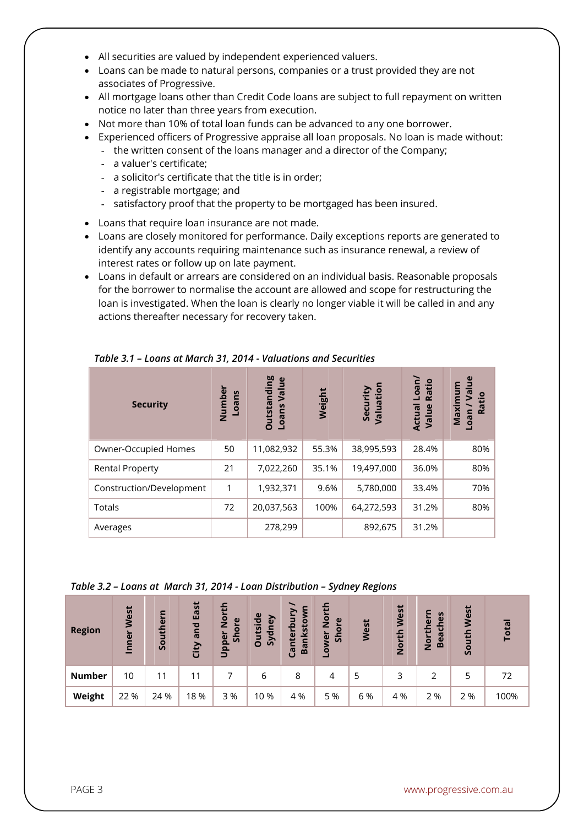- All securities are valued by independent experienced valuers.
- Loans can be made to natural persons, companies or a trust provided they are not associates of Progressive.
- All mortgage loans other than Credit Code loans are subject to full repayment on written notice no later than three years from execution.
- Not more than 10% of total loan funds can be advanced to any one borrower.
- Experienced officers of Progressive appraise all loan proposals. No loan is made without:
	- the written consent of the loans manager and a director of the Company;
		- a valuer's certificate;
		- a solicitor's certificate that the title is in order;
		- a registrable mortgage; and
		- satisfactory proof that the property to be mortgaged has been insured.
- Loans that require loan insurance are not made.
- Loans are closely monitored for performance. Daily exceptions reports are generated to identify any accounts requiring maintenance such as insurance renewal, a review of interest rates or follow up on late payment.
- Loans in default or arrears are considered on an individual basis. Reasonable proposals for the borrower to normalise the account are allowed and scope for restructuring the loan is investigated. When the loan is clearly no longer viable it will be called in and any actions thereafter necessary for recovery taken.

| <b>Security</b>          | Number<br><b>Loans</b> | <b>Outstanding</b><br>Value<br>Loans | Weight | Valuation<br>Security | Loan/<br>Ratio<br>Actual<br>Value | $\mathbf{g}$<br>ε<br>$\overline{\mathsf{S}}$<br>Maximu<br>Ratio<br>neo- |
|--------------------------|------------------------|--------------------------------------|--------|-----------------------|-----------------------------------|-------------------------------------------------------------------------|
| Owner-Occupied Homes     | 50                     | 11,082,932                           | 55.3%  | 38,995,593            | 28.4%                             | 80%                                                                     |
| <b>Rental Property</b>   | 21                     | 7,022,260                            | 35.1%  | 19,497,000            | 36.0%                             | 80%                                                                     |
| Construction/Development | 1                      | 1,932,371                            | 9.6%   | 5,780,000             | 33.4%                             | 70%                                                                     |
| Totals                   | 72                     | 20,037,563                           | 100%   | 64,272,593            | 31.2%                             | 80%                                                                     |
| Averages                 |                        | 278,299                              |        | 892,675               | 31.2%                             |                                                                         |

*Table 3.1 – Loans at March 31, 2014 - Valuations and Securities*

*Table 3.2 – Loans at March 31, 2014 - Loan Distribution – Sydney Regions* 

| <b>Region</b> | West<br>Inner | Southern | East<br>and<br>City | 5<br>$\overline{O}$<br>Shore<br>z<br>Upper | <b>Itside</b><br>Sydney<br>$\Omega$ | nterbur<br>inkstoy<br>Ba<br>ී | 듭<br>$\overline{2}$<br>ore<br>$\tilde{\overline{5}}$<br>ğ<br>۰ | West | North West | S<br><b>heri</b><br>e<br>ပ<br><b>North</b><br>Bea | West<br>uth<br><u>g</u> | Total |
|---------------|---------------|----------|---------------------|--------------------------------------------|-------------------------------------|-------------------------------|----------------------------------------------------------------|------|------------|---------------------------------------------------|-------------------------|-------|
| <b>Number</b> | 10            | 11       | 11                  |                                            | 6                                   | 8                             | 4                                                              | 5    | 3          |                                                   |                         | 72    |
| Weight        | 22 %          | 24 %     | 18%                 | 3 %                                        | 10 %                                | 4 %                           | 5 %                                                            | 6 %  | 4 %        | 2 %                                               | 2 %                     | 100%  |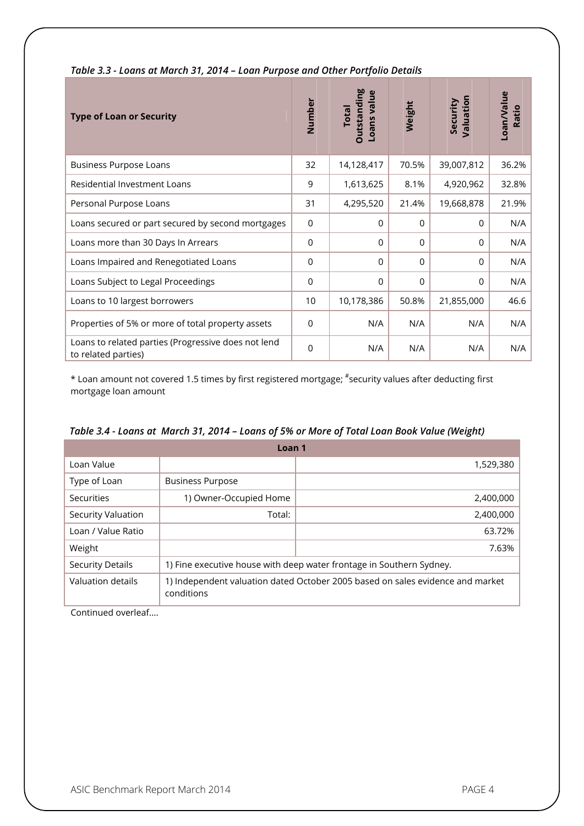| <b>Type of Loan or Security</b>                                            | Number          | <b>Outstanding</b><br>Loans value<br><b>Total</b> | Weight   | Valuation<br>Security | Loan/Value<br>Ratio |
|----------------------------------------------------------------------------|-----------------|---------------------------------------------------|----------|-----------------------|---------------------|
| <b>Business Purpose Loans</b>                                              | 32              | 14,128,417                                        | 70.5%    | 39,007,812            | 36.2%               |
| <b>Residential Investment Loans</b>                                        | 9               | 1,613,625                                         | 8.1%     | 4,920,962             | 32.8%               |
| Personal Purpose Loans                                                     | 31              | 4,295,520                                         | 21.4%    | 19,668,878            | 21.9%               |
| Loans secured or part secured by second mortgages                          | 0               | $\Omega$                                          | $\Omega$ | $\Omega$              | N/A                 |
| Loans more than 30 Days In Arrears                                         | 0               | 0                                                 | 0        | 0                     | N/A                 |
| Loans Impaired and Renegotiated Loans                                      | $\Omega$        | $\Omega$                                          | $\Omega$ | $\Omega$              | N/A                 |
| Loans Subject to Legal Proceedings                                         | 0               | 0                                                 | 0        | 0                     | N/A                 |
| Loans to 10 largest borrowers                                              | 10 <sup>°</sup> | 10,178,386                                        | 50.8%    | 21,855,000            | 46.6                |
| Properties of 5% or more of total property assets                          | $\Omega$        | N/A                                               | N/A      | N/A                   | N/A                 |
| Loans to related parties (Progressive does not lend<br>to related parties) | $\Omega$        | N/A                                               | N/A      | N/A                   | N/A                 |

*Table 3.3 - Loans at March 31, 2014 – Loan Purpose and Other Portfolio Details* 

\* Loan amount not covered 1.5 times by first registered mortgage; # security values after deducting first mortgage loan amount

| Table 3.4 - Loans at March 31, 2014 – Loans of 5% or More of Total Loan Book Value (Weight) |  |  |  |  |  |
|---------------------------------------------------------------------------------------------|--|--|--|--|--|
|---------------------------------------------------------------------------------------------|--|--|--|--|--|

|                         | Loan <sub>1</sub>                                                                            |                                                                      |  |
|-------------------------|----------------------------------------------------------------------------------------------|----------------------------------------------------------------------|--|
| Loan Value              |                                                                                              | 1,529,380                                                            |  |
| Type of Loan            | <b>Business Purpose</b>                                                                      |                                                                      |  |
| Securities              | 1) Owner-Occupied Home                                                                       | 2,400,000                                                            |  |
| Security Valuation      | Total:                                                                                       | 2,400,000                                                            |  |
| Loan / Value Ratio      |                                                                                              | 63.72%                                                               |  |
| Weight                  |                                                                                              | 7.63%                                                                |  |
| <b>Security Details</b> |                                                                                              | 1) Fine executive house with deep water frontage in Southern Sydney. |  |
| Valuation details       | 1) Independent valuation dated October 2005 based on sales evidence and market<br>conditions |                                                                      |  |

Continued overleaf....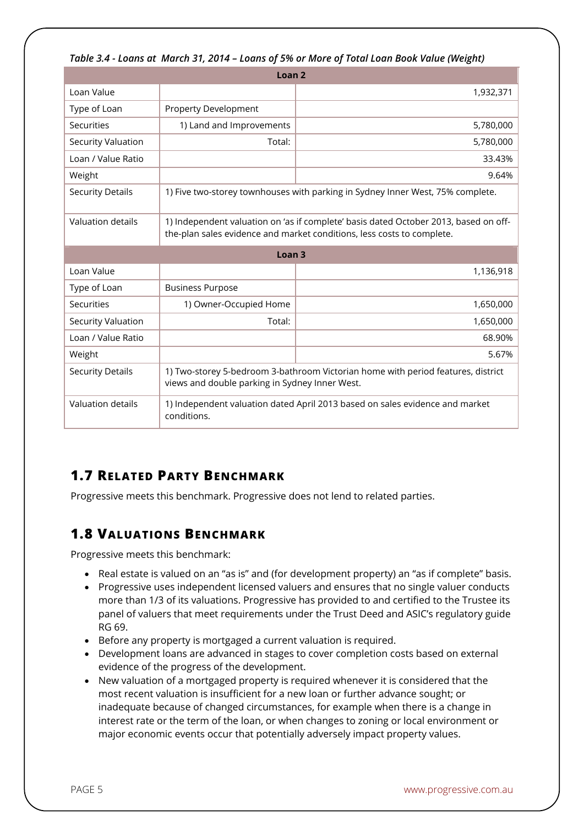|                         | TUDIE 3.4 - LOUIIS UL MUTCH 3 I, ZUT4 – LOUIIS OF 370 OF MOTE OF FOLUI LOUII DOOK VUIUE (WEIRIIL)                                                              |                                                                                  |  |  |  |
|-------------------------|----------------------------------------------------------------------------------------------------------------------------------------------------------------|----------------------------------------------------------------------------------|--|--|--|
|                         | Loan <sub>2</sub>                                                                                                                                              |                                                                                  |  |  |  |
| Loan Value              |                                                                                                                                                                | 1,932,371                                                                        |  |  |  |
| Type of Loan            | <b>Property Development</b>                                                                                                                                    |                                                                                  |  |  |  |
| <b>Securities</b>       | 1) Land and Improvements                                                                                                                                       | 5,780,000                                                                        |  |  |  |
| Security Valuation      | Total:                                                                                                                                                         | 5,780,000                                                                        |  |  |  |
| Loan / Value Ratio      |                                                                                                                                                                | 33.43%                                                                           |  |  |  |
| Weight                  |                                                                                                                                                                | 9.64%                                                                            |  |  |  |
| <b>Security Details</b> |                                                                                                                                                                | 1) Five two-storey townhouses with parking in Sydney Inner West, 75% complete.   |  |  |  |
| Valuation details       | 1) Independent valuation on 'as if complete' basis dated October 2013, based on off-<br>the-plan sales evidence and market conditions, less costs to complete. |                                                                                  |  |  |  |
|                         | Loan <sub>3</sub>                                                                                                                                              |                                                                                  |  |  |  |
| Loan Value              |                                                                                                                                                                | 1,136,918                                                                        |  |  |  |
| Type of Loan            | <b>Business Purpose</b>                                                                                                                                        |                                                                                  |  |  |  |
| <b>Securities</b>       | 1) Owner-Occupied Home                                                                                                                                         | 1,650,000                                                                        |  |  |  |
| Security Valuation      | Total:                                                                                                                                                         | 1,650,000                                                                        |  |  |  |
| Loan / Value Ratio      |                                                                                                                                                                | 68.90%                                                                           |  |  |  |
| Weight                  |                                                                                                                                                                | 5.67%                                                                            |  |  |  |
|                         |                                                                                                                                                                |                                                                                  |  |  |  |
| <b>Security Details</b> | views and double parking in Sydney Inner West.                                                                                                                 | 1) Two-storey 5-bedroom 3-bathroom Victorian home with period features, district |  |  |  |

#### *Table 3.4 - Loans at March 31, 2014 – Loans of 5% or More of Total Loan Book Value (Weight)*

### **1.7 RELATED PARTY BENCHMARK**

Progressive meets this benchmark. Progressive does not lend to related parties.

#### **1.8 VALUATIONS BENCHMARK**

Progressive meets this benchmark:

- Real estate is valued on an "as is" and (for development property) an "as if complete" basis.
- Progressive uses independent licensed valuers and ensures that no single valuer conducts more than 1/3 of its valuations. Progressive has provided to and certified to the Trustee its panel of valuers that meet requirements under the Trust Deed and ASIC's regulatory guide RG 69.
- Before any property is mortgaged a current valuation is required.
- Development loans are advanced in stages to cover completion costs based on external evidence of the progress of the development.
- New valuation of a mortgaged property is required whenever it is considered that the most recent valuation is insufficient for a new loan or further advance sought; or inadequate because of changed circumstances, for example when there is a change in interest rate or the term of the loan, or when changes to zoning or local environment or major economic events occur that potentially adversely impact property values.